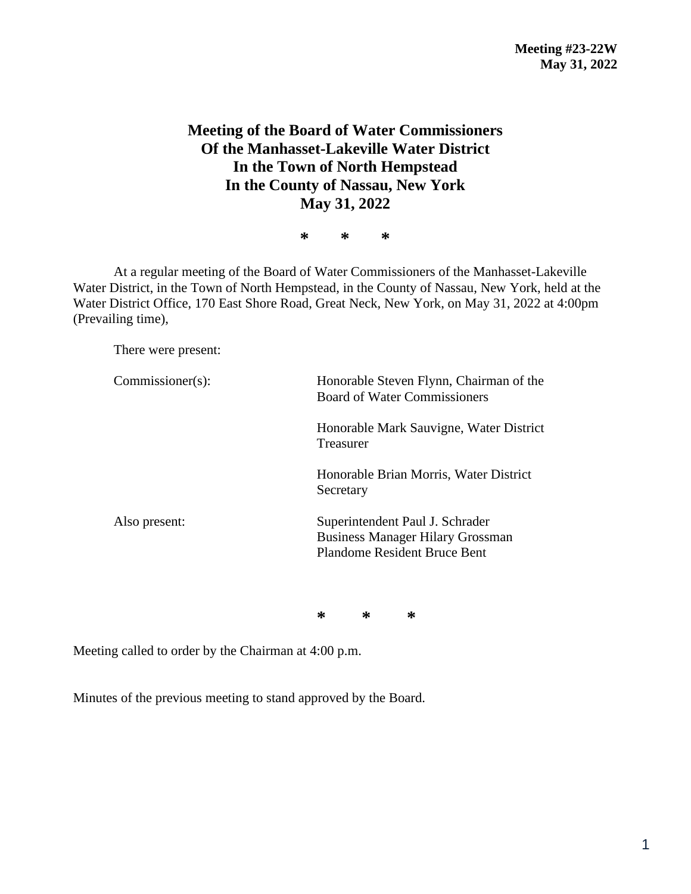## **Meeting of the Board of Water Commissioners Of the Manhasset-Lakeville Water District In the Town of North Hempstead In the County of Nassau, New York May 31, 2022**

**\* \* \***

At a regular meeting of the Board of Water Commissioners of the Manhasset-Lakeville Water District, in the Town of North Hempstead, in the County of Nassau, New York, held at the Water District Office, 170 East Shore Road, Great Neck, New York, on May 31, 2022 at 4:00pm (Prevailing time),

There were present:

| Commissioner(s): | Honorable Steven Flynn, Chairman of the<br><b>Board of Water Commissioners</b>                                    |  |  |
|------------------|-------------------------------------------------------------------------------------------------------------------|--|--|
|                  | Honorable Mark Sauvigne, Water District<br>Treasurer                                                              |  |  |
|                  | Honorable Brian Morris, Water District<br>Secretary                                                               |  |  |
| Also present:    | Superintendent Paul J. Schrader<br><b>Business Manager Hilary Grossman</b><br><b>Plandome Resident Bruce Bent</b> |  |  |

**\* \* \***

Meeting called to order by the Chairman at 4:00 p.m.

Minutes of the previous meeting to stand approved by the Board.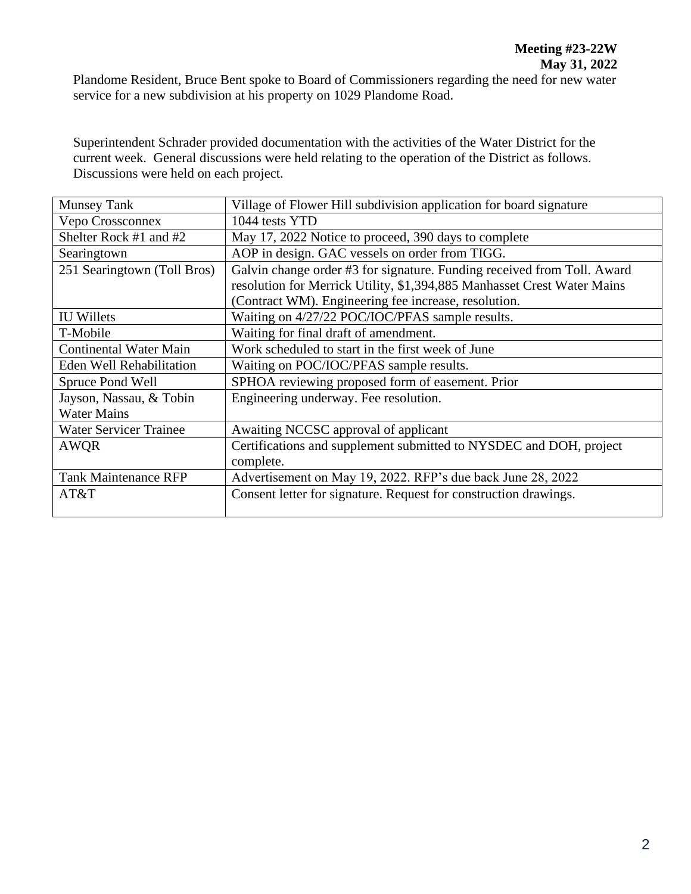Plandome Resident, Bruce Bent spoke to Board of Commissioners regarding the need for new water service for a new subdivision at his property on 1029 Plandome Road.

Superintendent Schrader provided documentation with the activities of the Water District for the current week. General discussions were held relating to the operation of the District as follows. Discussions were held on each project.

| <b>Munsey Tank</b>              | Village of Flower Hill subdivision application for board signature      |  |  |
|---------------------------------|-------------------------------------------------------------------------|--|--|
| Vepo Crossconnex                | 1044 tests YTD                                                          |  |  |
| Shelter Rock #1 and #2          | May 17, 2022 Notice to proceed, 390 days to complete                    |  |  |
| Searingtown                     | AOP in design. GAC vessels on order from TIGG.                          |  |  |
| 251 Searingtown (Toll Bros)     | Galvin change order #3 for signature. Funding received from Toll. Award |  |  |
|                                 | resolution for Merrick Utility, \$1,394,885 Manhasset Crest Water Mains |  |  |
|                                 | (Contract WM). Engineering fee increase, resolution.                    |  |  |
| <b>IU Willets</b>               | Waiting on 4/27/22 POC/IOC/PFAS sample results.                         |  |  |
| T-Mobile                        | Waiting for final draft of amendment.                                   |  |  |
| <b>Continental Water Main</b>   | Work scheduled to start in the first week of June                       |  |  |
| <b>Eden Well Rehabilitation</b> | Waiting on POC/IOC/PFAS sample results.                                 |  |  |
| Spruce Pond Well                | SPHOA reviewing proposed form of easement. Prior                        |  |  |
| Jayson, Nassau, & Tobin         | Engineering underway. Fee resolution.                                   |  |  |
| <b>Water Mains</b>              |                                                                         |  |  |
| <b>Water Servicer Trainee</b>   | Awaiting NCCSC approval of applicant                                    |  |  |
| AWQR                            | Certifications and supplement submitted to NYSDEC and DOH, project      |  |  |
|                                 | complete.                                                               |  |  |
| <b>Tank Maintenance RFP</b>     | Advertisement on May 19, 2022. RFP's due back June 28, 2022             |  |  |
| AT&T                            | Consent letter for signature. Request for construction drawings.        |  |  |
|                                 |                                                                         |  |  |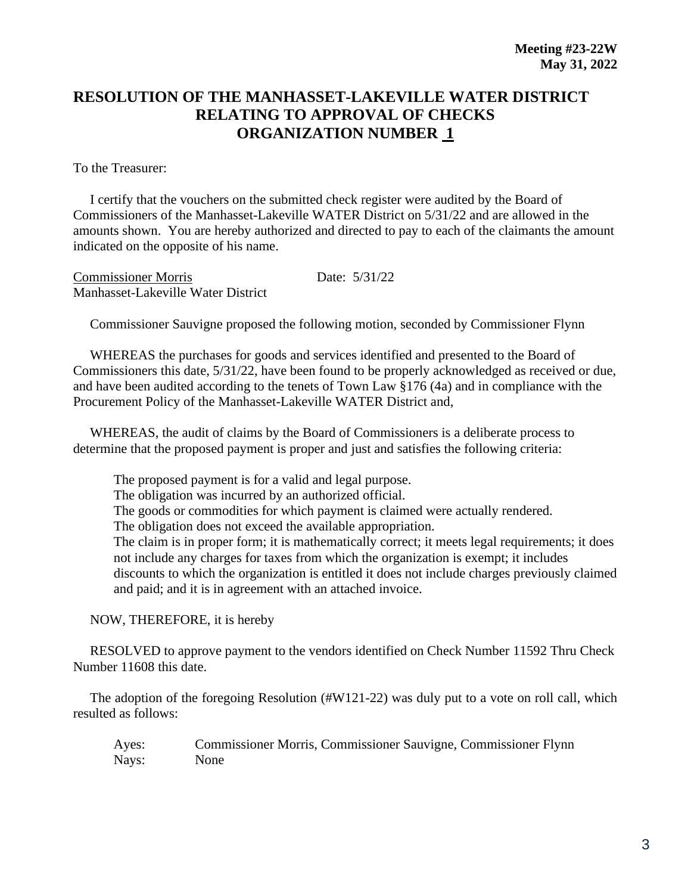## **RESOLUTION OF THE MANHASSET-LAKEVILLE WATER DISTRICT RELATING TO APPROVAL OF CHECKS ORGANIZATION NUMBER 1**

To the Treasurer:

 I certify that the vouchers on the submitted check register were audited by the Board of Commissioners of the Manhasset-Lakeville WATER District on 5/31/22 and are allowed in the amounts shown. You are hereby authorized and directed to pay to each of the claimants the amount indicated on the opposite of his name.

Commissioner Morris Date: 5/31/22 Manhasset-Lakeville Water District

Commissioner Sauvigne proposed the following motion, seconded by Commissioner Flynn

 WHEREAS the purchases for goods and services identified and presented to the Board of Commissioners this date, 5/31/22, have been found to be properly acknowledged as received or due, and have been audited according to the tenets of Town Law §176 (4a) and in compliance with the Procurement Policy of the Manhasset-Lakeville WATER District and,

 WHEREAS, the audit of claims by the Board of Commissioners is a deliberate process to determine that the proposed payment is proper and just and satisfies the following criteria:

The proposed payment is for a valid and legal purpose. The obligation was incurred by an authorized official. The goods or commodities for which payment is claimed were actually rendered. The obligation does not exceed the available appropriation. The claim is in proper form; it is mathematically correct; it meets legal requirements; it does not include any charges for taxes from which the organization is exempt; it includes discounts to which the organization is entitled it does not include charges previously claimed and paid; and it is in agreement with an attached invoice.

NOW, THEREFORE, it is hereby

 RESOLVED to approve payment to the vendors identified on Check Number 11592 Thru Check Number 11608 this date.

 The adoption of the foregoing Resolution (#W121-22) was duly put to a vote on roll call, which resulted as follows:

Ayes: Commissioner Morris, Commissioner Sauvigne, Commissioner Flynn Nays: None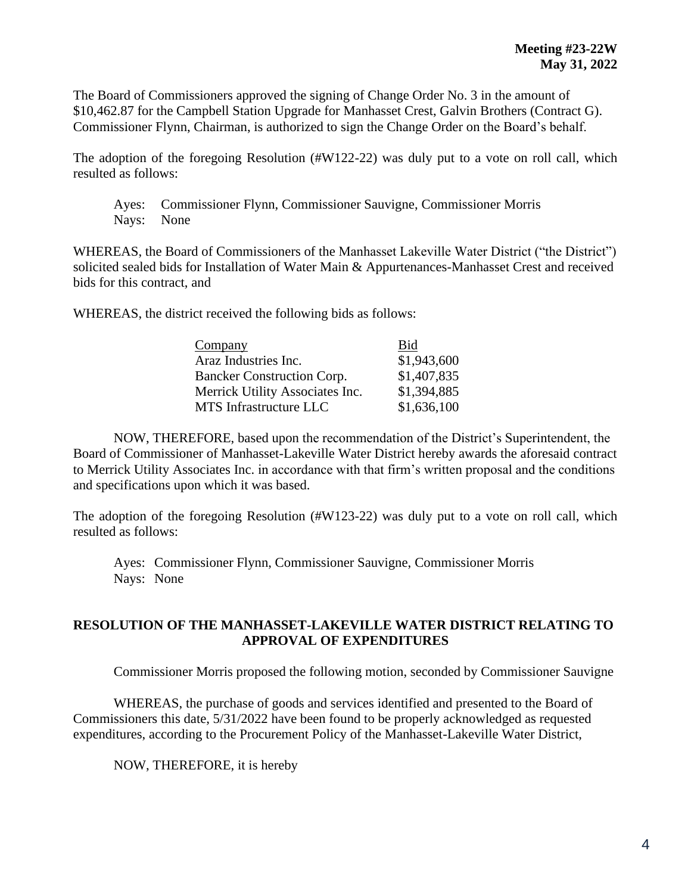The Board of Commissioners approved the signing of Change Order No. 3 in the amount of \$10,462.87 for the Campbell Station Upgrade for Manhasset Crest, Galvin Brothers (Contract G). Commissioner Flynn, Chairman, is authorized to sign the Change Order on the Board's behalf.

The adoption of the foregoing Resolution (#W122-22) was duly put to a vote on roll call, which resulted as follows:

Ayes: Commissioner Flynn, Commissioner Sauvigne, Commissioner Morris Nays: None

WHEREAS, the Board of Commissioners of the Manhasset Lakeville Water District ("the District") solicited sealed bids for Installation of Water Main & Appurtenances-Manhasset Crest and received bids for this contract, and

WHEREAS, the district received the following bids as follows:

| Company                           | Bid         |
|-----------------------------------|-------------|
| Araz Industries Inc.              | \$1,943,600 |
| <b>Bancker Construction Corp.</b> | \$1,407,835 |
| Merrick Utility Associates Inc.   | \$1,394,885 |
| MTS Infrastructure LLC            | \$1,636,100 |

NOW, THEREFORE, based upon the recommendation of the District's Superintendent, the Board of Commissioner of Manhasset-Lakeville Water District hereby awards the aforesaid contract to Merrick Utility Associates Inc. in accordance with that firm's written proposal and the conditions and specifications upon which it was based.

The adoption of the foregoing Resolution (#W123-22) was duly put to a vote on roll call, which resulted as follows:

Ayes: Commissioner Flynn, Commissioner Sauvigne, Commissioner Morris Nays: None

## **RESOLUTION OF THE MANHASSET-LAKEVILLE WATER DISTRICT RELATING TO APPROVAL OF EXPENDITURES**

Commissioner Morris proposed the following motion, seconded by Commissioner Sauvigne

WHEREAS, the purchase of goods and services identified and presented to the Board of Commissioners this date, 5/31/2022 have been found to be properly acknowledged as requested expenditures, according to the Procurement Policy of the Manhasset-Lakeville Water District,

NOW, THEREFORE, it is hereby